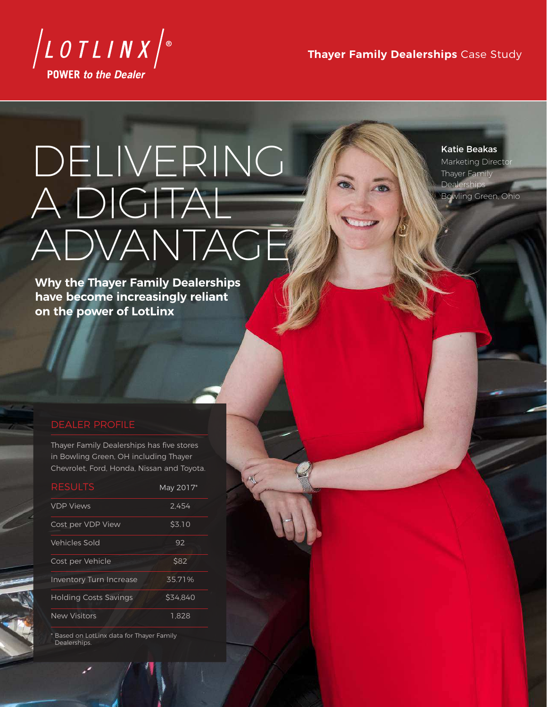

**Thayer Family Dealerships** Case Study

# DELIVERING A DIGITAL ADVANTAGE

Katie Beakas Marketing Director Thayer Family Dealerships Bowling Green, Ohio

**Why the Thayer Family Dealerships have become increasingly reliant on the power of LotLinx**

## DEALER PROFILE

Thayer Family Dealerships has five stores in Bowling Green, OH including Thayer Chevrolet, Ford, Honda, Nissan and Toyota.

| <b>RESULTS</b>                 | May 2017* |
|--------------------------------|-----------|
| <b>VDP Views</b>               | 2.454     |
| Cost per VDP View              | \$3.10    |
| Vehicles Sold                  | 92        |
| Cost per Vehicle               | \$82      |
| <b>Inventory Turn Increase</b> | 35.71%    |
| <b>Holding Costs Savings</b>   | \$34.840  |
| <b>New Visitors</b>            | 1.828     |

\* Based on LotLinx data for Thayer Family Dealerships.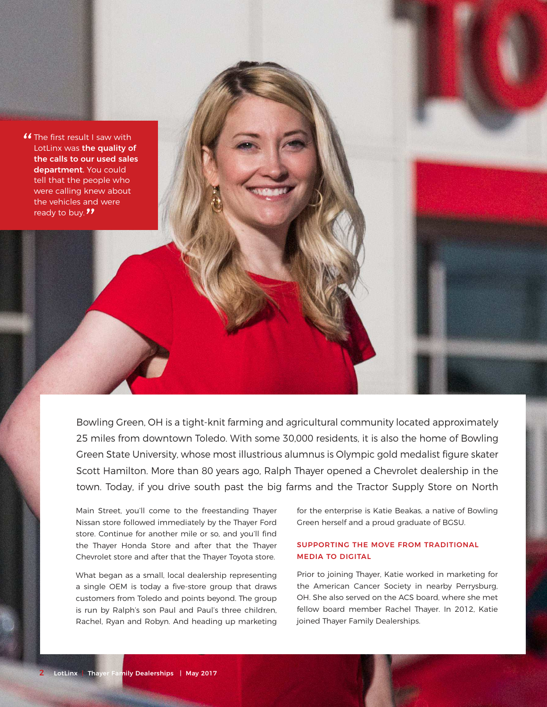

Bowling Green, OH is a tight-knit farming and agricultural community located approximately 25 miles from downtown Toledo. With some 30,000 residents, it is also the home of Bowling Green State University, whose most illustrious alumnus is Olympic gold medalist figure skater Scott Hamilton. More than 80 years ago, Ralph Thayer opened a Chevrolet dealership in the town. Today, if you drive south past the big farms and the Tractor Supply Store on North

Main Street, you'll come to the freestanding Thayer Nissan store followed immediately by the Thayer Ford store. Continue for another mile or so, and you'll find the Thayer Honda Store and after that the Thayer Chevrolet store and after that the Thayer Toyota store.

What began as a small, local dealership representing a single OEM is today a five-store group that draws customers from Toledo and points beyond. The group is run by Ralph's son Paul and Paul's three children, Rachel, Ryan and Robyn. And heading up marketing for the enterprise is Katie Beakas, a native of Bowling Green herself and a proud graduate of BGSU.

## SUPPORTING THE MOVE FROM TRADITIONAL MEDIA TO DIGITAL

Prior to joining Thayer, Katie worked in marketing for the American Cancer Society in nearby Perrysburg, OH. She also served on the ACS board, where she met fellow board member Rachel Thayer. In 2012, Katie joined Thayer Family Dealerships.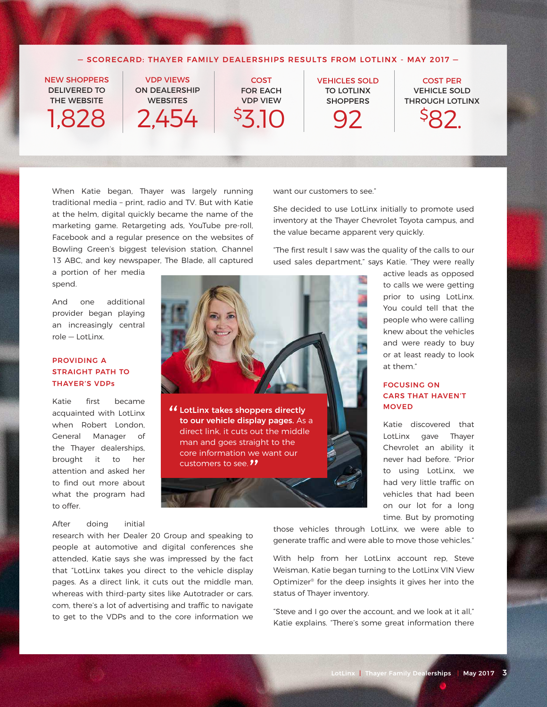### — SCORECARD: THAYER FAMILY DEALERSHIPS RESULTS FROM LOTLINX - MAY 2017 —

**COST** 

NEW SHOPPERS DELIVERED TO THE WEBSITE 1,828

VDP VIEWS ON DEALERSHIP **WEBSITES** 

2,454

FOR EACH VDP VIEW \$3.10

" LotLinx takes shoppers directly to our vehicle display pages. As a direct link, it cuts out the middle man and goes straight to the core information we want our

customers to see. "

VEHICLES SOLD TO LOTLINX **SHOPPERS** 92

VEHICLE SOLD THROUGH LOTLINX

COST PER



When Katie began, Thayer was largely running traditional media – print, radio and TV. But with Katie at the helm, digital quickly became the name of the marketing game. Retargeting ads, YouTube pre-roll, Facebook and a regular presence on the websites of Bowling Green's biggest television station, Channel 13 ABC, and key newspaper, The Blade, all captured

a portion of her media spend.

And one additional provider began playing an increasingly central role — LotLinx.

## PROVIDING A STRAIGHT PATH TO THAYER'S VDPs

Katie first became acquainted with LotLinx when Robert London, General Manager of the Thayer dealerships, brought it to her attention and asked her to find out more about what the program had to offer.

## After doing initial

research with her Dealer 20 Group and speaking to people at automotive and digital conferences she attended, Katie says she was impressed by the fact that "LotLinx takes you direct to the vehicle display pages. As a direct link, it cuts out the middle man, whereas with third-party sites like Autotrader or cars. com, there's a lot of advertising and traffic to navigate to get to the VDPs and to the core information we want our customers to see."

She decided to use LotLinx initially to promote used inventory at the Thayer Chevrolet Toyota campus, and the value became apparent very quickly.

"The first result I saw was the quality of the calls to our used sales department," says Katie. "They were really

> active leads as opposed to calls we were getting prior to using LotLinx. You could tell that the people who were calling knew about the vehicles and were ready to buy or at least ready to look at them."

### FOCUSING ON CARS THAT HAVEN'T **MOVED**

Katie discovered that LotLinx gave Thayer Chevrolet an ability it never had before. "Prior to using LotLinx, we had very little traffic on vehicles that had been on our lot for a long time. But by promoting

those vehicles through LotLinx, we were able to generate traffic and were able to move those vehicles."

With help from her LotLinx account rep, Steve Weisman, Katie began turning to the LotLinx VIN View Optimizer® for the deep insights it gives her into the status of Thayer inventory.

"Steve and I go over the account, and we look at it all," Katie explains. "There's some great information there